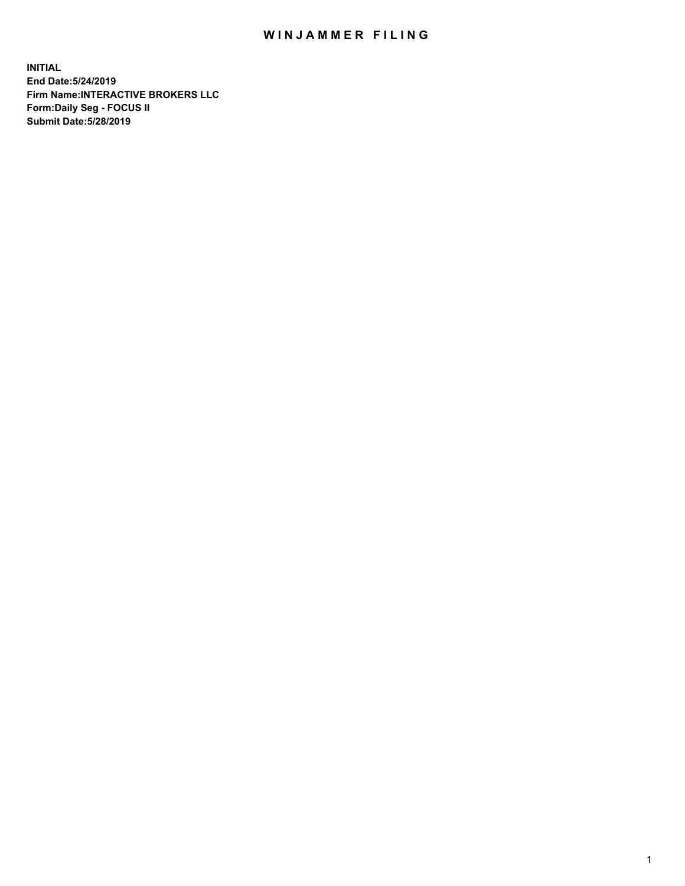## WIN JAMMER FILING

**INITIAL End Date:5/24/2019 Firm Name:INTERACTIVE BROKERS LLC Form:Daily Seg - FOCUS II Submit Date:5/28/2019**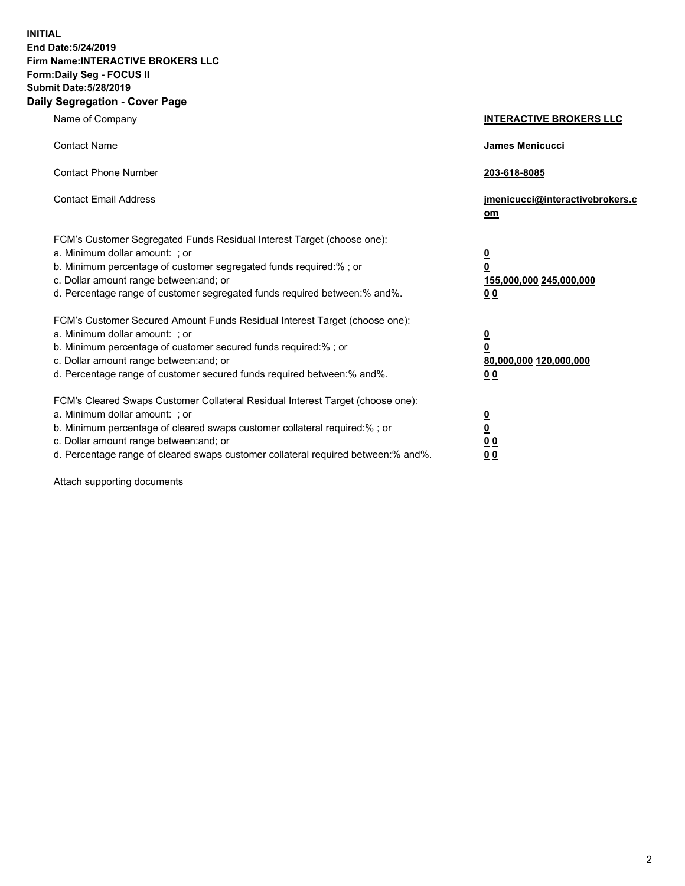**INITIAL End Date:5/24/2019 Firm Name:INTERACTIVE BROKERS LLC Form:Daily Seg - FOCUS II Submit Date:5/28/2019 Daily Segregation - Cover Page**

| Name of Company                                                                                                                                                                                                                                                                                                                | <b>INTERACTIVE BROKERS LLC</b>                                                   |
|--------------------------------------------------------------------------------------------------------------------------------------------------------------------------------------------------------------------------------------------------------------------------------------------------------------------------------|----------------------------------------------------------------------------------|
| <b>Contact Name</b>                                                                                                                                                                                                                                                                                                            | James Menicucci                                                                  |
| <b>Contact Phone Number</b>                                                                                                                                                                                                                                                                                                    | 203-618-8085                                                                     |
| <b>Contact Email Address</b>                                                                                                                                                                                                                                                                                                   | jmenicucci@interactivebrokers.c<br>om                                            |
| FCM's Customer Segregated Funds Residual Interest Target (choose one):<br>a. Minimum dollar amount: ; or<br>b. Minimum percentage of customer segregated funds required:% ; or<br>c. Dollar amount range between: and; or<br>d. Percentage range of customer segregated funds required between:% and%.                         | <u>0</u><br>$\overline{\mathbf{0}}$<br>155,000,000 245,000,000<br>0 <sub>0</sub> |
| FCM's Customer Secured Amount Funds Residual Interest Target (choose one):<br>a. Minimum dollar amount: ; or<br>b. Minimum percentage of customer secured funds required:% ; or<br>c. Dollar amount range between: and; or<br>d. Percentage range of customer secured funds required between:% and%.                           | <u>0</u><br>$\overline{\mathbf{0}}$<br>80,000,000 120,000,000<br>0 <sub>0</sub>  |
| FCM's Cleared Swaps Customer Collateral Residual Interest Target (choose one):<br>a. Minimum dollar amount: ; or<br>b. Minimum percentage of cleared swaps customer collateral required:% ; or<br>c. Dollar amount range between: and; or<br>d. Percentage range of cleared swaps customer collateral required between:% and%. | <u>0</u><br>$\underline{\mathbf{0}}$<br>0 <sub>0</sub><br>0 <sub>0</sub>         |

Attach supporting documents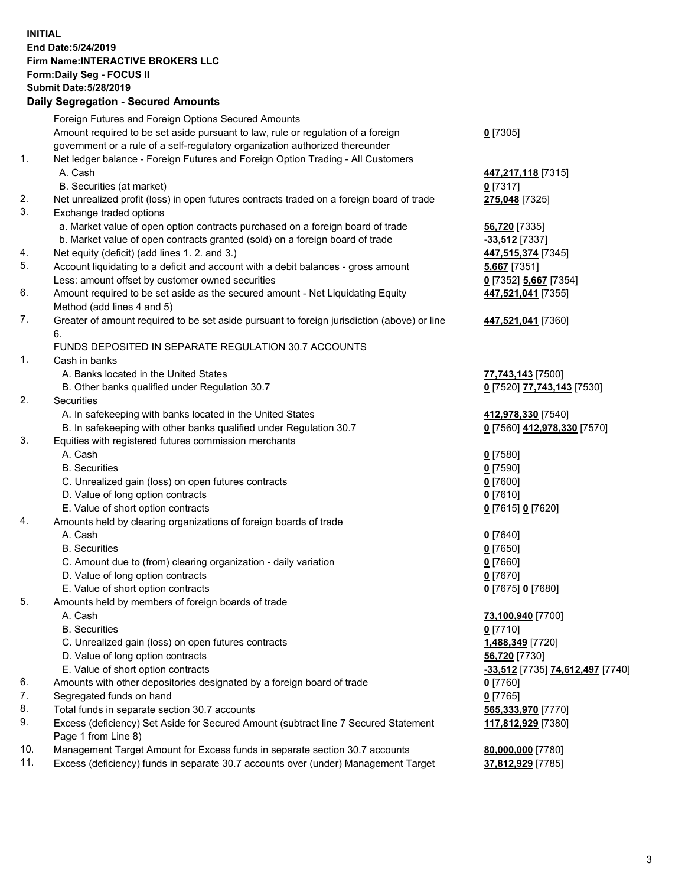## **INITIAL End Date:5/24/2019 Firm Name:INTERACTIVE BROKERS LLC Form:Daily Seg - FOCUS II Submit Date:5/28/2019 Daily Segregation - Secured Amounts**

| Daily Ocglegation - Occured Anioants                                                        |                                                                                                                                                                                                                                                                                                                                                                                                                                                                                                                                                                                                                                                                                                                                                                                                                                                                                                                                                                                                                                                                                                                                                                                                                                                                                                                                                                                                                                                                                                                                        |
|---------------------------------------------------------------------------------------------|----------------------------------------------------------------------------------------------------------------------------------------------------------------------------------------------------------------------------------------------------------------------------------------------------------------------------------------------------------------------------------------------------------------------------------------------------------------------------------------------------------------------------------------------------------------------------------------------------------------------------------------------------------------------------------------------------------------------------------------------------------------------------------------------------------------------------------------------------------------------------------------------------------------------------------------------------------------------------------------------------------------------------------------------------------------------------------------------------------------------------------------------------------------------------------------------------------------------------------------------------------------------------------------------------------------------------------------------------------------------------------------------------------------------------------------------------------------------------------------------------------------------------------------|
| Foreign Futures and Foreign Options Secured Amounts                                         |                                                                                                                                                                                                                                                                                                                                                                                                                                                                                                                                                                                                                                                                                                                                                                                                                                                                                                                                                                                                                                                                                                                                                                                                                                                                                                                                                                                                                                                                                                                                        |
| Amount required to be set aside pursuant to law, rule or regulation of a foreign            | $0$ [7305]                                                                                                                                                                                                                                                                                                                                                                                                                                                                                                                                                                                                                                                                                                                                                                                                                                                                                                                                                                                                                                                                                                                                                                                                                                                                                                                                                                                                                                                                                                                             |
| government or a rule of a self-regulatory organization authorized thereunder                |                                                                                                                                                                                                                                                                                                                                                                                                                                                                                                                                                                                                                                                                                                                                                                                                                                                                                                                                                                                                                                                                                                                                                                                                                                                                                                                                                                                                                                                                                                                                        |
| Net ledger balance - Foreign Futures and Foreign Option Trading - All Customers             |                                                                                                                                                                                                                                                                                                                                                                                                                                                                                                                                                                                                                                                                                                                                                                                                                                                                                                                                                                                                                                                                                                                                                                                                                                                                                                                                                                                                                                                                                                                                        |
| A. Cash                                                                                     | 447,217,118 [7315]                                                                                                                                                                                                                                                                                                                                                                                                                                                                                                                                                                                                                                                                                                                                                                                                                                                                                                                                                                                                                                                                                                                                                                                                                                                                                                                                                                                                                                                                                                                     |
| B. Securities (at market)                                                                   | $0$ [7317]                                                                                                                                                                                                                                                                                                                                                                                                                                                                                                                                                                                                                                                                                                                                                                                                                                                                                                                                                                                                                                                                                                                                                                                                                                                                                                                                                                                                                                                                                                                             |
| Net unrealized profit (loss) in open futures contracts traded on a foreign board of trade   | 275,048 [7325]                                                                                                                                                                                                                                                                                                                                                                                                                                                                                                                                                                                                                                                                                                                                                                                                                                                                                                                                                                                                                                                                                                                                                                                                                                                                                                                                                                                                                                                                                                                         |
| Exchange traded options                                                                     |                                                                                                                                                                                                                                                                                                                                                                                                                                                                                                                                                                                                                                                                                                                                                                                                                                                                                                                                                                                                                                                                                                                                                                                                                                                                                                                                                                                                                                                                                                                                        |
| a. Market value of open option contracts purchased on a foreign board of trade              | 56,720 [7335]                                                                                                                                                                                                                                                                                                                                                                                                                                                                                                                                                                                                                                                                                                                                                                                                                                                                                                                                                                                                                                                                                                                                                                                                                                                                                                                                                                                                                                                                                                                          |
|                                                                                             | $-33,512$ [7337]                                                                                                                                                                                                                                                                                                                                                                                                                                                                                                                                                                                                                                                                                                                                                                                                                                                                                                                                                                                                                                                                                                                                                                                                                                                                                                                                                                                                                                                                                                                       |
|                                                                                             | 447,515,374 [7345]                                                                                                                                                                                                                                                                                                                                                                                                                                                                                                                                                                                                                                                                                                                                                                                                                                                                                                                                                                                                                                                                                                                                                                                                                                                                                                                                                                                                                                                                                                                     |
|                                                                                             | 5,667 [7351]                                                                                                                                                                                                                                                                                                                                                                                                                                                                                                                                                                                                                                                                                                                                                                                                                                                                                                                                                                                                                                                                                                                                                                                                                                                                                                                                                                                                                                                                                                                           |
| Less: amount offset by customer owned securities                                            | 0 [7352] 5,667 [7354]                                                                                                                                                                                                                                                                                                                                                                                                                                                                                                                                                                                                                                                                                                                                                                                                                                                                                                                                                                                                                                                                                                                                                                                                                                                                                                                                                                                                                                                                                                                  |
| Amount required to be set aside as the secured amount - Net Liquidating Equity              | 447,521,041 [7355]                                                                                                                                                                                                                                                                                                                                                                                                                                                                                                                                                                                                                                                                                                                                                                                                                                                                                                                                                                                                                                                                                                                                                                                                                                                                                                                                                                                                                                                                                                                     |
|                                                                                             |                                                                                                                                                                                                                                                                                                                                                                                                                                                                                                                                                                                                                                                                                                                                                                                                                                                                                                                                                                                                                                                                                                                                                                                                                                                                                                                                                                                                                                                                                                                                        |
| Greater of amount required to be set aside pursuant to foreign jurisdiction (above) or line | 447,521,041 [7360]                                                                                                                                                                                                                                                                                                                                                                                                                                                                                                                                                                                                                                                                                                                                                                                                                                                                                                                                                                                                                                                                                                                                                                                                                                                                                                                                                                                                                                                                                                                     |
| 6.                                                                                          |                                                                                                                                                                                                                                                                                                                                                                                                                                                                                                                                                                                                                                                                                                                                                                                                                                                                                                                                                                                                                                                                                                                                                                                                                                                                                                                                                                                                                                                                                                                                        |
|                                                                                             |                                                                                                                                                                                                                                                                                                                                                                                                                                                                                                                                                                                                                                                                                                                                                                                                                                                                                                                                                                                                                                                                                                                                                                                                                                                                                                                                                                                                                                                                                                                                        |
| Cash in banks                                                                               |                                                                                                                                                                                                                                                                                                                                                                                                                                                                                                                                                                                                                                                                                                                                                                                                                                                                                                                                                                                                                                                                                                                                                                                                                                                                                                                                                                                                                                                                                                                                        |
| A. Banks located in the United States                                                       | 77,743,143 [7500]                                                                                                                                                                                                                                                                                                                                                                                                                                                                                                                                                                                                                                                                                                                                                                                                                                                                                                                                                                                                                                                                                                                                                                                                                                                                                                                                                                                                                                                                                                                      |
| B. Other banks qualified under Regulation 30.7                                              | 0 [7520] 77,743,143 [7530]                                                                                                                                                                                                                                                                                                                                                                                                                                                                                                                                                                                                                                                                                                                                                                                                                                                                                                                                                                                                                                                                                                                                                                                                                                                                                                                                                                                                                                                                                                             |
| Securities                                                                                  |                                                                                                                                                                                                                                                                                                                                                                                                                                                                                                                                                                                                                                                                                                                                                                                                                                                                                                                                                                                                                                                                                                                                                                                                                                                                                                                                                                                                                                                                                                                                        |
| A. In safekeeping with banks located in the United States                                   | 412,978,330 [7540]                                                                                                                                                                                                                                                                                                                                                                                                                                                                                                                                                                                                                                                                                                                                                                                                                                                                                                                                                                                                                                                                                                                                                                                                                                                                                                                                                                                                                                                                                                                     |
|                                                                                             | 0 [7560] 412,978,330 [7570]                                                                                                                                                                                                                                                                                                                                                                                                                                                                                                                                                                                                                                                                                                                                                                                                                                                                                                                                                                                                                                                                                                                                                                                                                                                                                                                                                                                                                                                                                                            |
|                                                                                             |                                                                                                                                                                                                                                                                                                                                                                                                                                                                                                                                                                                                                                                                                                                                                                                                                                                                                                                                                                                                                                                                                                                                                                                                                                                                                                                                                                                                                                                                                                                                        |
|                                                                                             | $0$ [7580]                                                                                                                                                                                                                                                                                                                                                                                                                                                                                                                                                                                                                                                                                                                                                                                                                                                                                                                                                                                                                                                                                                                                                                                                                                                                                                                                                                                                                                                                                                                             |
|                                                                                             | $0$ [7590]                                                                                                                                                                                                                                                                                                                                                                                                                                                                                                                                                                                                                                                                                                                                                                                                                                                                                                                                                                                                                                                                                                                                                                                                                                                                                                                                                                                                                                                                                                                             |
|                                                                                             | $0$ [7600]                                                                                                                                                                                                                                                                                                                                                                                                                                                                                                                                                                                                                                                                                                                                                                                                                                                                                                                                                                                                                                                                                                                                                                                                                                                                                                                                                                                                                                                                                                                             |
|                                                                                             | $0$ [7610]                                                                                                                                                                                                                                                                                                                                                                                                                                                                                                                                                                                                                                                                                                                                                                                                                                                                                                                                                                                                                                                                                                                                                                                                                                                                                                                                                                                                                                                                                                                             |
|                                                                                             | 0 [7615] 0 [7620]                                                                                                                                                                                                                                                                                                                                                                                                                                                                                                                                                                                                                                                                                                                                                                                                                                                                                                                                                                                                                                                                                                                                                                                                                                                                                                                                                                                                                                                                                                                      |
|                                                                                             |                                                                                                                                                                                                                                                                                                                                                                                                                                                                                                                                                                                                                                                                                                                                                                                                                                                                                                                                                                                                                                                                                                                                                                                                                                                                                                                                                                                                                                                                                                                                        |
|                                                                                             | $0$ [7640]                                                                                                                                                                                                                                                                                                                                                                                                                                                                                                                                                                                                                                                                                                                                                                                                                                                                                                                                                                                                                                                                                                                                                                                                                                                                                                                                                                                                                                                                                                                             |
|                                                                                             | $0$ [7650]                                                                                                                                                                                                                                                                                                                                                                                                                                                                                                                                                                                                                                                                                                                                                                                                                                                                                                                                                                                                                                                                                                                                                                                                                                                                                                                                                                                                                                                                                                                             |
|                                                                                             | $0$ [7660]                                                                                                                                                                                                                                                                                                                                                                                                                                                                                                                                                                                                                                                                                                                                                                                                                                                                                                                                                                                                                                                                                                                                                                                                                                                                                                                                                                                                                                                                                                                             |
|                                                                                             | $0$ [7670]                                                                                                                                                                                                                                                                                                                                                                                                                                                                                                                                                                                                                                                                                                                                                                                                                                                                                                                                                                                                                                                                                                                                                                                                                                                                                                                                                                                                                                                                                                                             |
|                                                                                             | 0 [7675] 0 [7680]                                                                                                                                                                                                                                                                                                                                                                                                                                                                                                                                                                                                                                                                                                                                                                                                                                                                                                                                                                                                                                                                                                                                                                                                                                                                                                                                                                                                                                                                                                                      |
|                                                                                             |                                                                                                                                                                                                                                                                                                                                                                                                                                                                                                                                                                                                                                                                                                                                                                                                                                                                                                                                                                                                                                                                                                                                                                                                                                                                                                                                                                                                                                                                                                                                        |
|                                                                                             | 73,100,940 [7700]                                                                                                                                                                                                                                                                                                                                                                                                                                                                                                                                                                                                                                                                                                                                                                                                                                                                                                                                                                                                                                                                                                                                                                                                                                                                                                                                                                                                                                                                                                                      |
|                                                                                             | $0$ [7710]                                                                                                                                                                                                                                                                                                                                                                                                                                                                                                                                                                                                                                                                                                                                                                                                                                                                                                                                                                                                                                                                                                                                                                                                                                                                                                                                                                                                                                                                                                                             |
|                                                                                             | 1,488,349 [7720]                                                                                                                                                                                                                                                                                                                                                                                                                                                                                                                                                                                                                                                                                                                                                                                                                                                                                                                                                                                                                                                                                                                                                                                                                                                                                                                                                                                                                                                                                                                       |
|                                                                                             | 56,720 [7730]                                                                                                                                                                                                                                                                                                                                                                                                                                                                                                                                                                                                                                                                                                                                                                                                                                                                                                                                                                                                                                                                                                                                                                                                                                                                                                                                                                                                                                                                                                                          |
|                                                                                             | <mark>-33,512</mark> [7735] <mark>74,612,497</mark> [7740]                                                                                                                                                                                                                                                                                                                                                                                                                                                                                                                                                                                                                                                                                                                                                                                                                                                                                                                                                                                                                                                                                                                                                                                                                                                                                                                                                                                                                                                                             |
|                                                                                             | 0 [7760]                                                                                                                                                                                                                                                                                                                                                                                                                                                                                                                                                                                                                                                                                                                                                                                                                                                                                                                                                                                                                                                                                                                                                                                                                                                                                                                                                                                                                                                                                                                               |
|                                                                                             | $0$ [7765]                                                                                                                                                                                                                                                                                                                                                                                                                                                                                                                                                                                                                                                                                                                                                                                                                                                                                                                                                                                                                                                                                                                                                                                                                                                                                                                                                                                                                                                                                                                             |
|                                                                                             | 565,333,970 [7770]                                                                                                                                                                                                                                                                                                                                                                                                                                                                                                                                                                                                                                                                                                                                                                                                                                                                                                                                                                                                                                                                                                                                                                                                                                                                                                                                                                                                                                                                                                                     |
|                                                                                             | 117,812,929 [7380]                                                                                                                                                                                                                                                                                                                                                                                                                                                                                                                                                                                                                                                                                                                                                                                                                                                                                                                                                                                                                                                                                                                                                                                                                                                                                                                                                                                                                                                                                                                     |
|                                                                                             |                                                                                                                                                                                                                                                                                                                                                                                                                                                                                                                                                                                                                                                                                                                                                                                                                                                                                                                                                                                                                                                                                                                                                                                                                                                                                                                                                                                                                                                                                                                                        |
|                                                                                             | 80,000,000 [7780]                                                                                                                                                                                                                                                                                                                                                                                                                                                                                                                                                                                                                                                                                                                                                                                                                                                                                                                                                                                                                                                                                                                                                                                                                                                                                                                                                                                                                                                                                                                      |
|                                                                                             | 37,812,929 [7785]                                                                                                                                                                                                                                                                                                                                                                                                                                                                                                                                                                                                                                                                                                                                                                                                                                                                                                                                                                                                                                                                                                                                                                                                                                                                                                                                                                                                                                                                                                                      |
|                                                                                             | b. Market value of open contracts granted (sold) on a foreign board of trade<br>Net equity (deficit) (add lines 1.2. and 3.)<br>Account liquidating to a deficit and account with a debit balances - gross amount<br>Method (add lines 4 and 5)<br>FUNDS DEPOSITED IN SEPARATE REGULATION 30.7 ACCOUNTS<br>B. In safekeeping with other banks qualified under Regulation 30.7<br>Equities with registered futures commission merchants<br>A. Cash<br><b>B.</b> Securities<br>C. Unrealized gain (loss) on open futures contracts<br>D. Value of long option contracts<br>E. Value of short option contracts<br>Amounts held by clearing organizations of foreign boards of trade<br>A. Cash<br><b>B.</b> Securities<br>C. Amount due to (from) clearing organization - daily variation<br>D. Value of long option contracts<br>E. Value of short option contracts<br>Amounts held by members of foreign boards of trade<br>A. Cash<br><b>B.</b> Securities<br>C. Unrealized gain (loss) on open futures contracts<br>D. Value of long option contracts<br>E. Value of short option contracts<br>Amounts with other depositories designated by a foreign board of trade<br>Segregated funds on hand<br>Total funds in separate section 30.7 accounts<br>Excess (deficiency) Set Aside for Secured Amount (subtract line 7 Secured Statement<br>Page 1 from Line 8)<br>Management Target Amount for Excess funds in separate section 30.7 accounts<br>Excess (deficiency) funds in separate 30.7 accounts over (under) Management Target |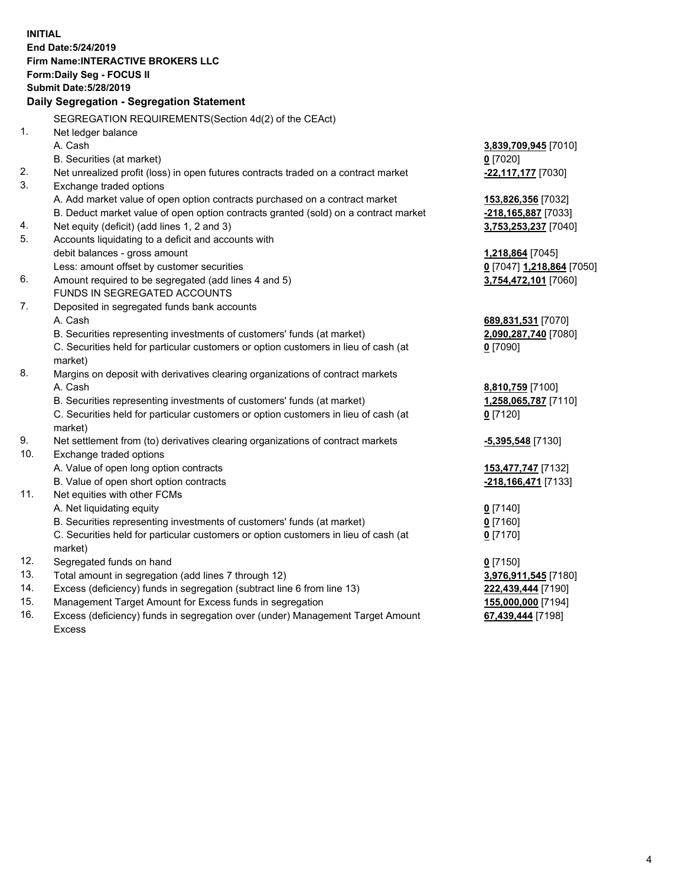**INITIAL End Date:5/24/2019 Firm Name:INTERACTIVE BROKERS LLC Form:Daily Seg - FOCUS II Submit Date:5/28/2019 Daily Segregation - Segregation Statement** SEGREGATION REQUIREMENTS(Section 4d(2) of the CEAct) 1. Net ledger balance A. Cash **3,839,709,945** [7010] B. Securities (at market) **0** [7020] 2. Net unrealized profit (loss) in open futures contracts traded on a contract market **-22,117,177** [7030] 3. Exchange traded options A. Add market value of open option contracts purchased on a contract market **153,826,356** [7032] B. Deduct market value of open option contracts granted (sold) on a contract market **-218,165,887** [7033] 4. Net equity (deficit) (add lines 1, 2 and 3) **3,753,253,237** [7040] 5. Accounts liquidating to a deficit and accounts with debit balances - gross amount **1,218,864** [7045] Less: amount offset by customer securities **0** [7047] **1,218,864** [7050] 6. Amount required to be segregated (add lines 4 and 5) **3,754,472,101** [7060] FUNDS IN SEGREGATED ACCOUNTS 7. Deposited in segregated funds bank accounts A. Cash **689,831,531** [7070] B. Securities representing investments of customers' funds (at market) **2,090,287,740** [7080] C. Securities held for particular customers or option customers in lieu of cash (at market) **0** [7090] 8. Margins on deposit with derivatives clearing organizations of contract markets A. Cash **8,810,759** [7100] B. Securities representing investments of customers' funds (at market) **1,258,065,787** [7110] C. Securities held for particular customers or option customers in lieu of cash (at market) **0** [7120] 9. Net settlement from (to) derivatives clearing organizations of contract markets **-5,395,548** [7130] 10. Exchange traded options A. Value of open long option contracts **153,477,747** [7132] B. Value of open short option contracts **-218,166,471** [7133] 11. Net equities with other FCMs A. Net liquidating equity **0** [7140] B. Securities representing investments of customers' funds (at market) **0** [7160] C. Securities held for particular customers or option customers in lieu of cash (at market) **0** [7170] 12. Segregated funds on hand **0** [7150] 13. Total amount in segregation (add lines 7 through 12) **3,976,911,545** [7180] 14. Excess (deficiency) funds in segregation (subtract line 6 from line 13) **222,439,444** [7190] 15. Management Target Amount for Excess funds in segregation **155,000,000** [7194]

16. Excess (deficiency) funds in segregation over (under) Management Target Amount Excess

**67,439,444** [7198]